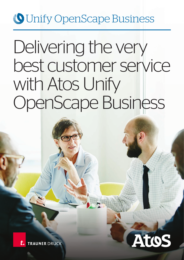# **O** Unify OpenScape Business

# Delivering the very best customer service with Atos Unify OpenScape Business

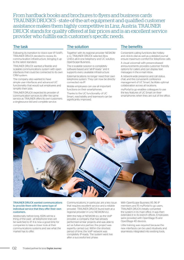From hardback books and brochures to flyers and business cards TRAUNER DRUCK'S - state-of-the-art equipment and qualified customer assistance makes them highly competitive in Linz, Austria. TRAUNER DRUCK stands for quality offered at fair prices and is an excellent service provider who fulfills each customer's specific needs.

## The task

Following its transition to Voice over IP (VoIP), TRAUNER DRUCK decided to review its communication infrastructure, bringing it up to the latest standard.

TRAUNER DRUCK wanted a flexible and scalable communications system with open interfaces that could be connected to its own CRM system.

The company also wanted to have simple user interfaces and advanced UC functionality that would suit employees and simplify their jobs.

TRAUNER DRUCK expected its provider of communication services to offer the same service as TRAUNER offers its own customers: a singlesource bid and complete service.

## The solution

Together with its regional provider NESKOM e. U., TRAUNER DRUCK selected Atos Unify's all-in-one telephony and UC solution, OpenScape Business.

The e-scalable solution is completely software-based and "all-IP-ready" and it supports every available infrastructure.

External locations no longer need their own telephone system. They can now be directly connected via IP.

Mobile employees can use all important functions on their smartphones.

Thanks to the UC functionality of UC Smart, reachability and teamwork can be significantly improved.

## The benefits

Convenient calling functions like hotkey and click-to-dial as well as a detailed journal ensure maximum comfort for telephone calls.

A visual voicemail with presencebased announcements provides customer friendly options for callers and can display text messages in the e-mail inbox.

A network-wide presence and call status, chat, and the convenient conference management of UC Smart, facilitate optimal collaboration across all locations.

myPortal to go enables colleagues to use the key features of UC Smart on their smartphones when they are out of the office.



## TRAUNER DRUCK wanted communications to provide them with the same type of individual service that they offer their own customers.

Additionally before long, ISDN will be a thing of the past - all telephone lines will be switched to IP. It is now a good time for companies to take a closer look at their communications systems and see what the market has to offer.

Communications, in particular, are a key issue that requires excellent service and a reliable provider. TRAUNER DRUCK found both at a regional provider in Linz, NESKOM e.U.

With the help of NESKOM e.U as the VoIP provider, a company that had already performed similar projects and was able to act as fullservice partner, the project was expertly carried out. Within the shortest period of time, the VoIP network was completely IP-ready. The system went live after a successful test phase.

With OpenScape Business X5, 96 IP members and 15 myPortal to go users, TRAUNER DRUCK initially converted the system in its main office. It was then extended it to its branch offices. Employees were provided with OpenStage 15 and OpenStage 40 devices.

Little training was required because the new interfaces can be used intuitively and seamlessly integrated into existing tools.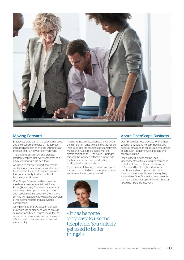

Employees were part of the selection process and project from the outset. This approach increased acceptance and the willingness of the staff to try a new work environment.

The system's convenient and practical interface ensures that every employee can enjoy working with the new tools.

An included service-support agreement, containing software upgrades and services, helps protect the investment and provide functional security. It offers the latest technology at all times.

OpenScape Business has been awarded the German environmental seal Blauer Engel (Blue Angel). This demonstrates that Atos Unify offers optimal energy usage and resource conservation by offering long service life, reusability as well as the provision of replacement parts and a recyclable construction.

A simple voice and UC solution that can grow with the company as well as provide scalability and flexibility produces a feeling of security, communications become more efficient, and customers can be reached more quickly.

Thanks to the user experience they provide, the highperformance voice and UC functions integrated into the solution excite employees. Management are also pleased with the simple migration to IP, the no-risk upgrades through the included software support and the flexible connection opportunities to existing business applications.

Ingrid Trauner following a poll of employees that was conducted after the new telephone environment was commissioned:



« It has become very easy to use the telephone. You quickly get used to better things! »

## Moving Forward **About OpenScape Business** Moving Forward

OpenScape Business provides for the most varied and wideranging communications needs of small and mediumsized enterprises in particular – together with a flexible and scalable solution.

OpenScape Business can be used independently of the existing infrastructure – whether IP, conventional telephony or DECT. In addition to high-performance telephony and a comprehensive unified communications environment, everything is available – OpenScape Business presents the right solution for up to 500 members or 1,500 members in a network.